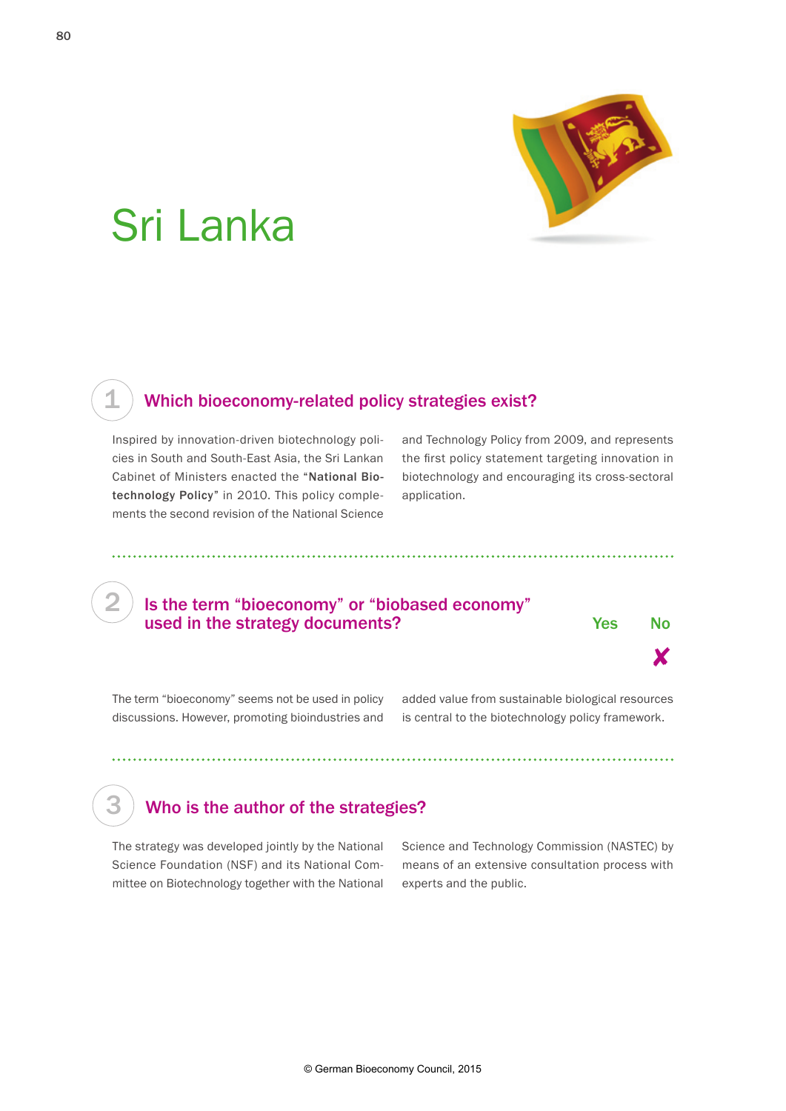

# Sri Lanka

# Which bioeconomy-related policy strategies exist?

Inspired by innovation-driven biotechnology policies in South and South-East Asia, the Sri Lankan Cabinet of Ministers enacted the "National Biotechnology Policy" in 2010. This policy complements the second revision of the National Science

and Technology Policy from 2009, and represents the first policy statement targeting innovation in biotechnology and encouraging its cross-sectoral application.

#### Is the term "bioeconomy" or "biobased economy" used in the strategy documents? The North Strategy of the North Strategy Australian Mo



The term "bioeconomy" seems not be used in policy discussions. However, promoting bioindustries and added value from sustainable biological resources is central to the biotechnology policy framework.

# Who is the author of the strategies?

The strategy was developed jointly by the National Science Foundation (NSF) and its National Committee on Biotechnology together with the National

Science and Technology Commission (NASTEC) by means of an extensive consultation process with experts and the public.

1

2

3